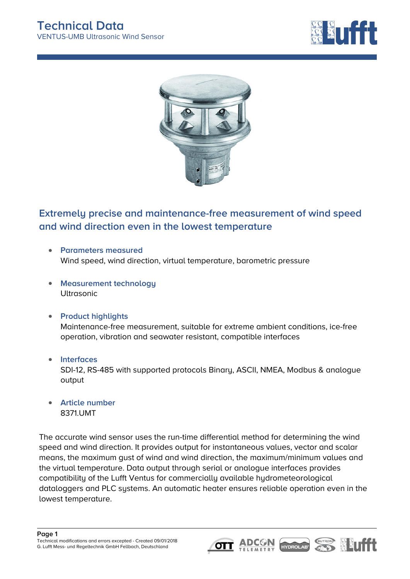



## **Extremely precise and maintenance-free measurement of wind speed and wind direction even in the lowest temperature**

- **Parameters measured** Wind speed, wind direction, virtual temperature, barometric pressure
- **Measurement technology** Ultrasonic
- **Product highlights** Maintenance-free measurement, suitable for extreme ambient conditions, ice-free operation, vibration and seawater resistant, compatible interfaces
- **Interfaces** SDI-12, RS-485 with supported protocols Binary, ASCII, NMEA, Modbus & analogue output
- **Article number**  $\Delta$ 8371.UMT

The accurate wind sensor uses the run-time differential method for determining the wind speed and wind direction. It provides output for instantaneous values, vector and scalar means, the maximum gust of wind and wind direction, the maximum/minimum values and the virtual temperature. Data output through serial or analogue interfaces provides compatibility of the Lufft Ventus for commercially available hydrometeorological dataloggers and PLC systems. An automatic heater ensures reliable operation even in the lowest temperature.





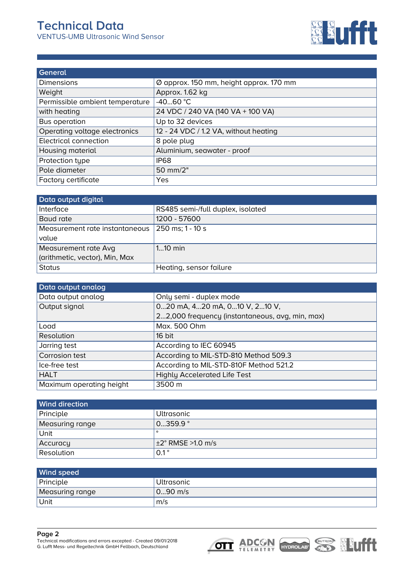

| General                         |                                         |
|---------------------------------|-----------------------------------------|
| Dimensions                      | Ø approx. 150 mm, height approx. 170 mm |
| Weight                          | Approx. 1.62 kg                         |
| Permissible ambient temperature | $-4060 °C$                              |
| with heating                    | 24 VDC / 240 VA (140 VA + 100 VA)       |
| <b>Bus operation</b>            | Up to 32 devices                        |
| Operating voltage electronics   | 12 - 24 VDC / 1.2 VA, without heating   |
| <b>Electrical connection</b>    | 8 pole plug                             |
| Housing material                | Aluminium, seawater - proof             |
| Protection type                 | <b>IP68</b>                             |
| Pole diameter                   | 50 mm/2"                                |
| Factory certificate             | Yes                                     |

| Data output digital            |                                   |
|--------------------------------|-----------------------------------|
| Interface                      | RS485 semi-/full duplex, isolated |
| Baud rate                      | 1200 - 57600                      |
| Measurement rate instantaneous | 250 ms; 1 - 10 s                  |
| value                          |                                   |
| Measurement rate Avg           | $110$ min                         |
| (arithmetic, vector), Min, Max |                                   |
| <b>Status</b>                  | Heating, sensor failure           |

| Data output analog       |                                                 |
|--------------------------|-------------------------------------------------|
| Data output analog       | Only semi - duplex mode                         |
| Output signal            | 020 mA, 420 mA, 010 V, 210 V,                   |
|                          | 22,000 frequency (instantaneous, avg, min, max) |
| Load                     | Max. 500 Ohm                                    |
| Resolution               | 16 bit                                          |
| Jarring test             | According to IEC 60945                          |
| Corrosion test           | According to MIL-STD-810 Method 509.3           |
| Ice-free test            | According to MIL-STD-810F Method 521.2          |
| <b>HALT</b>              | <b>Highly Accelerated Life Test</b>             |
| Maximum operating height | 3500 m                                          |

| <b>Wind direction</b> |                               |
|-----------------------|-------------------------------|
| Principle             | <b>Ultrasonic</b>             |
| Measuring range       | 0359.9°                       |
| Unit                  | $\circ$                       |
| Accuracy              | $\pm 2^{\circ}$ RMSE >1.0 m/s |
| Resolution            | $0.1^{\circ}$                 |

| <b>Wind speed</b> |            |
|-------------------|------------|
| Principle         | Ultrasonic |
| Measuring range   | $090$ m/s  |
| Unit              | m/s        |